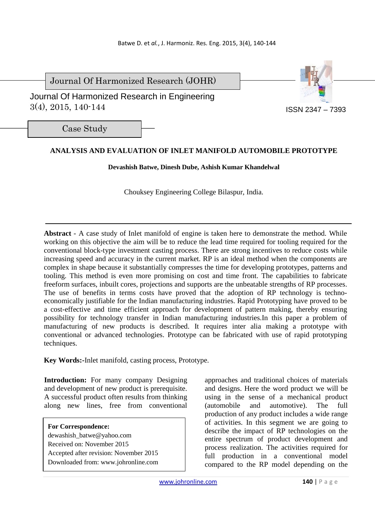Journal Of Harmonized Research (JOHR)

 Journal Of Harmonized Research in Engineering 3(4), 2015, 140-144



Case Study

# **ANALYSIS AND EVALUATION OF INLET MANIFOLD AUTOMOBILE PROTOTYPE**

**Devashish Batwe, Dinesh Dube, Ashish Kumar Khandelwal** 

Chouksey Engineering College Bilaspur, India.

**Abstract** *-* A case study of Inlet manifold of engine is taken here to demonstrate the method. While working on this objective the aim will be to reduce the lead time required for tooling required for the conventional block-type investment casting process. There are strong incentives to reduce costs while increasing speed and accuracy in the current market. RP is an ideal method when the components are complex in shape because it substantially compresses the time for developing prototypes, patterns and tooling. This method is even more promising on cost and time front. The capabilities to fabricate freeform surfaces, inbuilt cores, projections and supports are the unbeatable strengths of RP processes. The use of benefits in terms costs have proved that the adoption of RP technology is technoeconomically justifiable for the Indian manufacturing industries. Rapid Prototyping have proved to be a cost-effective and time efficient approach for development of pattern making, thereby ensuring possibility for technology transfer in Indian manufacturing industries.In this paper a problem of manufacturing of new products is described. It requires inter alia making a prototype with conventional or advanced technologies. Prototype can be fabricated with use of rapid prototyping techniques.

**Key Words:-**Inlet manifold, casting process, Prototype.

**Introduction:** For many company Designing and development of new product is prerequisite. A successful product often results from thinking along new lines, free from conventional

**For Correspondence:**  dewashish\_batwe@yahoo.com Received on: November 2015 Accepted after revision: November 2015 Downloaded from: www.johronline.com approaches and traditional choices of materials and designs. Here the word product we will be using in the sense of a mechanical product (automobile and automotive). The full production of any product includes a wide range of activities. In this segment we are going to describe the impact of RP technologies on the entire spectrum of product development and process realization. The activities required for full production in a conventional model compared to the RP model depending on the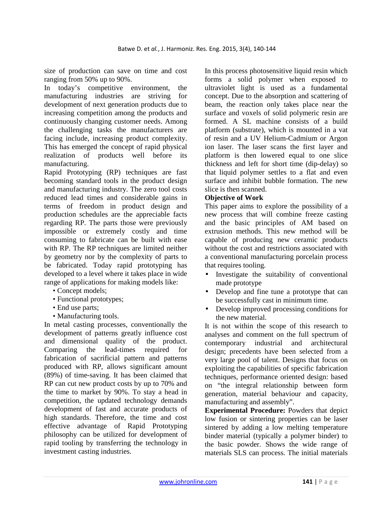size of production can save on time and cost ranging from 50% up to 90%.

In today's competitive environment, the manufacturing industries are striving for development of next generation products due to increasing competition among the products and continuously changing customer needs. Among the challenging tasks the manufacturers are facing include, increasing product complexity. This has emerged the concept of rapid physical realization of products well before its manufacturing.

Rapid Prototyping (RP) techniques are fast becoming standard tools in the product design and manufacturing industry. The zero tool costs reduced lead times and considerable gains in terms of freedom in product design and production schedules are the appreciable facts regarding RP. The parts those were previously impossible or extremely costly and time consuming to fabricate can be built with ease with RP. The RP techniques are limited neither by geometry nor by the complexity of parts to be fabricated. Today rapid prototyping has developed to a level where it takes place in wide range of applications for making models like:

- Concept models;
- Functional prototypes;
- End use parts:
- Manufacturing tools.

In metal casting processes, conventionally the development of patterns greatly influence cost and dimensional quality of the product. Comparing the lead-times required for fabrication of sacrificial pattern and patterns produced with RP, allows significant amount (89%) of time-saving. It has been claimed that RP can cut new product costs by up to 70% and the time to market by 90%. To stay a head in competition, the updated technology demands development of fast and accurate products of high standards. Therefore, the time and cost effective advantage of Rapid Prototyping philosophy can be utilized for development of rapid tooling by transferring the technology in investment casting industries.

In this process photosensitive liquid resin which forms a solid polymer when exposed to ultraviolet light is used as a fundamental concept. Due to the absorption and scattering of beam, the reaction only takes place near the surface and voxels of solid polymeric resin are formed. A SL machine consists of a build platform (substrate), which is mounted in a vat of resin and a UV Helium-Cadmium or Argon ion laser. The laser scans the first layer and platform is then lowered equal to one slice thickness and left for short time (dip-delay) so that liquid polymer settles to a flat and even surface and inhibit bubble formation. The new slice is then scanned.

### **Objective of Work**

This paper aims to explore the possibility of a new process that will combine freeze casting and the basic principles of AM based on extrusion methods. This new method will be capable of producing new ceramic products without the cost and restrictions associated with a conventional manufacturing porcelain process that requires tooling.

- Investigate the suitability of conventional made prototype
- Develop and fine tune a prototype that can be successfully cast in minimum time.
- Develop improved processing conditions for the new material.

It is not within the scope of this research to analyses and comment on the full spectrum of contemporary industrial and architectural design; precedents have been selected from a very large pool of talent. Designs that focus on exploiting the capabilities of specific fabrication techniques, performance oriented design: based on "the integral relationship between form generation, material behaviour and capacity, manufacturing and assembly".

**Experimental Procedure:** Powders that depict low fusion or sintering properties can be laser sintered by adding a low melting temperature binder material (typically a polymer binder) to the basic powder. Shows the wide range of materials SLS can process. The initial materials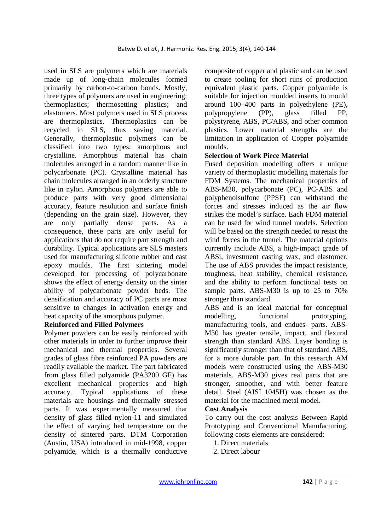used in SLS are polymers which are materials made up of long-chain molecules formed primarily by carbon-to-carbon bonds. Mostly, three types of polymers are used in engineering: thermoplastics; thermosetting plastics; and elastomers. Most polymers used in SLS process are thermoplastics. Thermoplastics can be recycled in SLS, thus saving material. Generally, thermoplastic polymers can be classified into two types: amorphous and crystalline. Amorphous material has chain molecules arranged in a random manner like in polycarbonate (PC). Crystalline material has chain molecules arranged in an orderly structure like in nylon. Amorphous polymers are able to produce parts with very good dimensional accuracy, feature resolution and surface finish (depending on the grain size). However, they are only partially dense parts. As a consequence, these parts are only useful for applications that do not require part strength and durability. Typical applications are SLS masters used for manufacturing silicone rubber and cast epoxy moulds. The first sintering model developed for processing of polycarbonate shows the effect of energy density on the sinter ability of polycarbonate powder beds. The densification and accuracy of PC parts are most sensitive to changes in activation energy and heat capacity of the amorphous polymer.

### **Reinforced and Filled Polymers**

Polymer powders can be easily reinforced with other materials in order to further improve their mechanical and thermal properties. Several grades of glass fibre reinforced PA powders are readily available the market. The part fabricated from glass filled polyamide (PA3200 GF) has excellent mechanical properties and high accuracy. Typical applications of these materials are housings and thermally stressed parts. It was experimentally measured that density of glass filled nylon-11 and simulated the effect of varying bed temperature on the density of sintered parts. DTM Corporation (Austin, USA) introduced in mid-1998, copper polyamide, which is a thermally conductive composite of copper and plastic and can be used to create tooling for short runs of production equivalent plastic parts. Copper polyamide is suitable for injection moulded inserts to mould around 100–400 parts in polyethylene (PE), polypropylene (PP), glass filled PP, polystyrene, ABS, PC/ABS, and other common plastics. Lower material strengths are the limitation in application of Copper polyamide moulds.

#### **Selection of Work Piece Material**

Fused deposition modelling offers a unique variety of thermoplastic modelling materials for FDM Systems. The mechanical properties of ABS-M30, polycarbonate (PC), PC-ABS and polyphenolsulfone (PPSF) can withstand the forces and stresses induced as the air flow strikes the model's surface. Each FDM material can be used for wind tunnel models. Selection will be based on the strength needed to resist the wind forces in the tunnel. The material options currently include ABS, a high-impact grade of ABSi, investment casting wax, and elastomer. The use of ABS provides the impact resistance, toughness, heat stability, chemical resistance, and the ability to perform functional tests on sample parts. ABS-M30 is up to 25 to 70% stronger than standard

ABS and is an ideal material for conceptual modelling, functional prototyping, manufacturing tools, and endues- parts. ABS-M30 has greater tensile, impact, and flexural strength than standard ABS. Layer bonding is significantly stronger than that of standard ABS, for a more durable part. In this research AM models were constructed using the ABS-M30 materials. ABS-M30 gives real parts that are stronger, smoother, and with better feature detail. Steel (AISI 1045H) was chosen as the material for the machined metal model.

### **Cost Analysis**

To carry out the cost analysis Between Rapid Prototyping and Conventional Manufacturing, following costs elements are considered:

- 1. Direct materials
- 2. Direct labour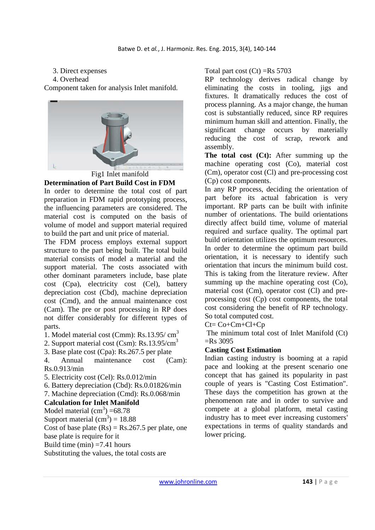### 3. Direct expenses

#### 4. Overhead

Component taken for analysis Inlet manifold.



**Determination of Part Build Cost in FDM** 

In order to determine the total cost of part preparation in FDM rapid prototyping process, the influencing parameters are considered. The material cost is computed on the basis of volume of model and support material required to build the part and unit price of material.

The FDM process employs external support structure to the part being built. The total build material consists of model a material and the support material. The costs associated with other dominant parameters include, base plate cost (Cpa), electricity cost (Cel), battery depreciation cost (Cbd), machine depreciation cost (Cmd), and the annual maintenance cost (Cam). The pre or post processing in RP does not differ considerably for different types of parts.

1. Model material cost (Cmm):  $\text{Rs}.13.95/\text{ cm}^3$ 

2. Support material cost (Csm): Rs.13.95/cm<sup>3</sup>

3. Base plate cost (Cpa): Rs.267.5 per plate

4. Annual maintenance cost (Cam): Rs.0.913/min

5. Electricity cost (Cel): Rs.0.012/min

6. Battery depreciation (Cbd): Rs.0.01826/min

7. Machine depreciation (Cmd): Rs.0.068/min

# **Calculation for Inlet Manifold**

Model material  $\text{(cm}^3\text{)} = 68.78$ 

Support material  $\text{(cm}^3) = 18.88$ 

Cost of base plate  $(Rs) = Rs.267.5$  per plate, one

base plate is require for it

Build time  $(min) = 7.41$  hours

Substituting the values, the total costs are

Total part cost  $(Ct)$  =Rs 5703

RP technology derives radical change by eliminating the costs in tooling, jigs and fixtures. It dramatically reduces the cost of process planning. As a major change, the human cost is substantially reduced, since RP requires minimum human skill and attention. Finally, the significant change occurs by materially reducing the cost of scrap, rework and assembly.

**The total cost (Ct):** After summing up the machine operating cost (Co), material cost (Cm), operator cost (Cl) and pre-processing cost (Cp) cost components.

In any RP process, deciding the orientation of part before its actual fabrication is very important. RP parts can be built with infinite number of orientations. The build orientations directly affect build time, volume of material required and surface quality. The optimal part build orientation utilizes the optimum resources. In order to determine the optimum part build orientation, it is necessary to identify such orientation that incurs the minimum build cost. This is taking from the literature review. After summing up the machine operating cost (Co), material cost (Cm), operator cost (Cl) and preprocessing cost (Cp) cost components, the total cost considering the benefit of RP technology. So total computed cost.

 $Ct = Co + Cm + Cl + Cp$ 

 The minimum total cost of Inlet Manifold (Ct)  $=$ Rs 3095

# **Casting Cost Estimation**

Indian casting industry is booming at a rapid pace and looking at the present scenario one concept that has gained its popularity in past couple of years is "Casting Cost Estimation". These days the competition has grown at the phenomenon rate and in order to survive and compete at a global platform, metal casting industry has to meet ever increasing customers' expectations in terms of quality standards and lower pricing.